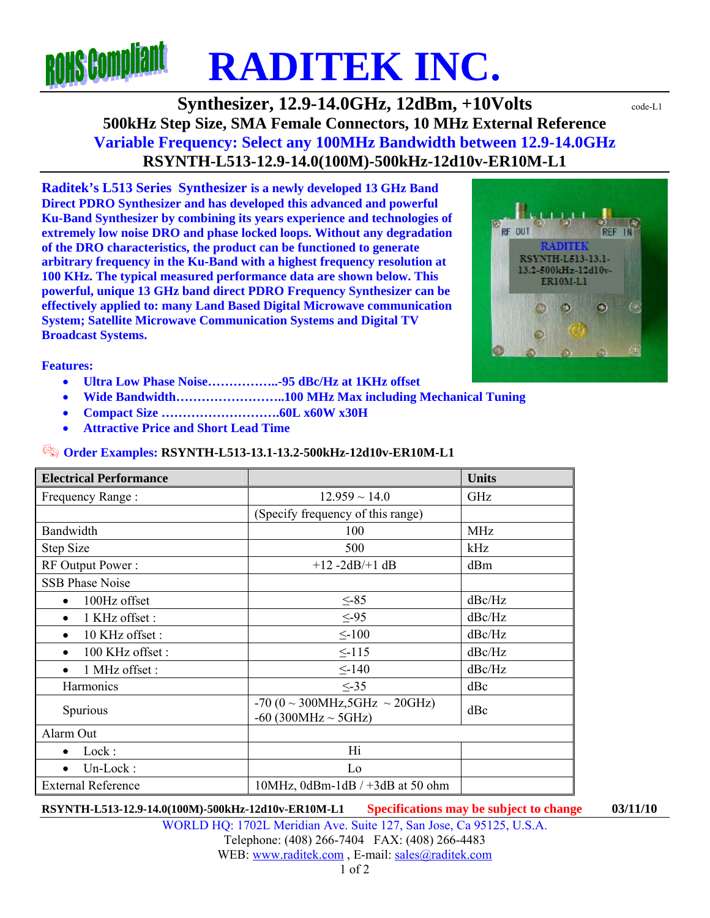## **ROHS COMP RADITEK INC.**

**Synthesizer, 12.9-14.0GHz, 12dBm, +10Volts**  $\text{code}$ **500kHz Step Size, SMA Female Connectors, 10 MHz External Reference Variable Frequency: Select any 100MHz Bandwidth between 12.9-14.0GHz RSYNTH-L513-12.9-14.0(100M)-500kHz-12d10v-ER10M-L1** 

**Raditek's L513 Series Synthesizer is a newly developed 13 GHz Band Direct PDRO Synthesizer and has developed this advanced and powerful Ku-Band Synthesizer by combining its years experience and technologies of extremely low noise DRO and phase locked loops. Without any degradation of the DRO characteristics, the product can be functioned to generate arbitrary frequency in the Ku-Band with a highest frequency resolution at 100 KHz. The typical measured performance data are shown below. This powerful, unique 13 GHz band direct PDRO Frequency Synthesizer can be effectively applied to: many Land Based Digital Microwave communication System; Satellite Microwave Communication Systems and Digital TV Broadcast Systems.** 



**Features:** 

- **Ultra Low Phase Noise……………..-95 dBc/Hz at 1KHz offset**
- **Wide Bandwidth……………………..100 MHz Max including Mechanical Tuning**
- **Compact Size ……………………….60L x60W x30H**
- **Attractive Price and Short Lead Time**

## **Order Examples: RSYNTH-L513-13.1-13.2-500kHz-12d10v-ER10M-L1**

| <b>Electrical Performance</b> |                                                                         | <b>Units</b> |
|-------------------------------|-------------------------------------------------------------------------|--------------|
| Frequency Range:              | $12.959 \sim 14.0$                                                      | GHz          |
|                               | (Specify frequency of this range)                                       |              |
| Bandwidth                     | 100                                                                     | <b>MHz</b>   |
| <b>Step Size</b>              | 500                                                                     | kHz          |
| RF Output Power:              | $+12 -2dB/+1dB$                                                         | dBm          |
| <b>SSB Phase Noise</b>        |                                                                         |              |
| 100Hz offset<br>$\bullet$     | $\leq -85$                                                              | dBc/Hz       |
| 1 KHz offset:<br>$\bullet$    | $\leq -95$                                                              | dBc/Hz       |
| 10 KHz offset:<br>$\bullet$   | $\leq$ -100                                                             | dBc/Hz       |
| 100 KHz offset:<br>$\bullet$  | $\leq$ -115                                                             | dBc/Hz       |
| 1 MHz offset :<br>$\bullet$   | $\leq$ -140                                                             | dBc/Hz       |
| Harmonics                     | $\leq$ -35                                                              | dBc          |
| Spurious                      | $-70 (0 \sim 300 MHz, 5 GHz \sim 20 GHz)$<br>$-60$ (300MHz $\sim$ 5GHz) | dBc          |
| Alarm Out                     |                                                                         |              |
| Lock:<br>$\bullet$            | Hi                                                                      |              |
| Un-Lock:                      | Lo                                                                      |              |
| <b>External Reference</b>     | $10MHz$ , $0dBm-1dB$ / +3dB at 50 ohm                                   |              |

**RSYNTH-L513-12.9-14.0(100M)-500kHz-12d10v-ER10M-L1 Specifications may be subject to change 03/11/10**

WORLD HQ: 1702L Meridian Ave. Suite 127, San Jose, Ca 95125, U.S.A. Telephone: (408) 266-7404 FAX: (408) 266-4483 WEB: www.raditek.com, E-mail: sales@raditek.com